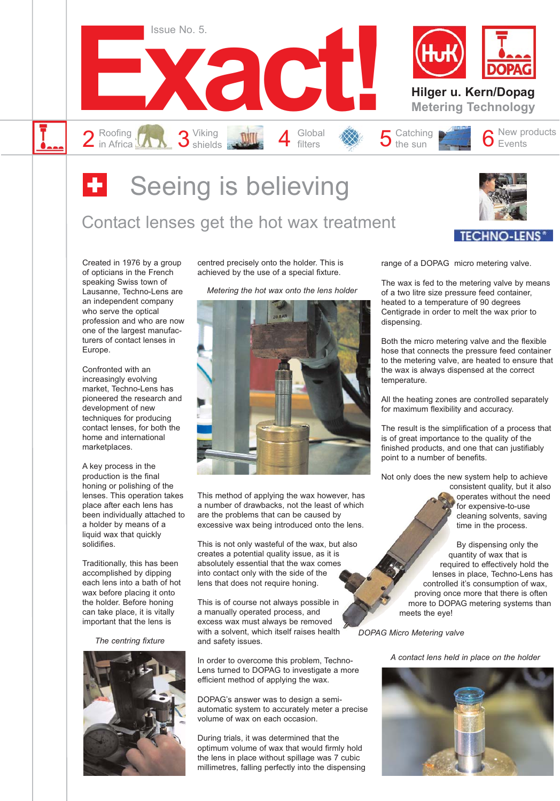

### **B** Seeing is believing

### Contact lenses get the hot wax treatment



Created in 1976 by a group of opticians in the French speaking Swiss town of Lausanne, Techno-Lens are an independent company who serve the optical profession and who are now one of the largest manufacturers of contact lenses in Europe.

Confronted with an increasingly evolving market, Techno-Lens has pioneered the research and development of new techniques for producing contact lenses, for both the home and international marketplaces.

A key process in the production is the final honing or polishing of the lenses. This operation takes place after each lens has been individually attached to a holder by means of a liquid wax that quickly solidifies.

Traditionally, this has been accomplished by dipping each lens into a bath of hot wax before placing it onto the holder. Before honing can take place, it is vitally important that the lens is

*The centring fixture*



centred precisely onto the holder. This is achieved by the use of a special fixture.

*Metering the hot wax onto the lens holder*



This method of applying the wax however, has a number of drawbacks, not the least of which are the problems that can be caused by excessive wax being introduced onto the lens.

This is not only wasteful of the wax, but also creates a potential quality issue, as it is absolutely essential that the wax comes into contact only with the side of the lens that does not require honing.

This is of course not always possible in a manually operated process, and excess wax must always be removed with a solvent, which itself raises health and safety issues.

In order to overcome this problem, Techno-Lens turned to DOPAG to investigate a more efficient method of applying the wax.

DOPAG's answer was to design a semiautomatic system to accurately meter a precise volume of wax on each occasion.

During trials, it was determined that the optimum volume of wax that would firmly hold the lens in place without spillage was 7 cubic millimetres, falling perfectly into the dispensing range of a DOPAG micro metering valve.

The wax is fed to the metering valve by means of a two litre size pressure feed container, heated to a temperature of 90 degrees Centigrade in order to melt the wax prior to dispensing.

Both the micro metering valve and the flexible hose that connects the pressure feed container to the metering valve, are heated to ensure that the wax is always dispensed at the correct temperature.

All the heating zones are controlled separately for maximum flexibility and accuracy.

The result is the simplification of a process that is of great importance to the quality of the finished products, and one that can justifiably point to a number of benefits.

Not only does the new system help to achieve

consistent quality, but it also operates without the need for expensive-to-use cleaning solvents, saving time in the process.

By dispensing only the quantity of wax that is required to effectively hold the lenses in place, Techno-Lens has controlled it's consumption of wax, proving once more that there is often more to DOPAG metering systems than meets the eye!

*DOPAG Micro Metering valve*

*A contact lens held in place on the holder*

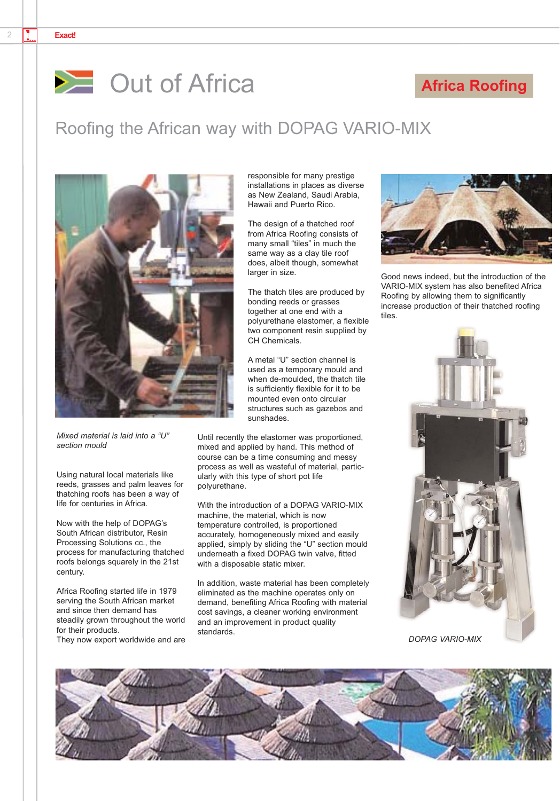#### 2 **Exact!**



#### **Africa Roofing**

#### Roofing the African way with DOPAG VARIO-MIX



*Mixed material is laid into a "U" section mould*

Using natural local materials like reeds, grasses and palm leaves for thatching roofs has been a way of life for centuries in Africa.

Now with the help of DOPAG's South African distributor, Resin Processing Solutions cc., the process for manufacturing thatched roofs belongs squarely in the 21st century.

Africa Roofing started life in 1979 serving the South African market and since then demand has steadily grown throughout the world for their products.

They now export worldwide and are

responsible for many prestige installations in places as diverse as New Zealand, Saudi Arabia, Hawaii and Puerto Rico.

The design of a thatched roof from Africa Roofing consists of many small "tiles" in much the same way as a clay tile roof does, albeit though, somewhat larger in size.

The thatch tiles are produced by bonding reeds or grasses together at one end with a polyurethane elastomer, a flexible two component resin supplied by CH Chemicals.

A metal "U" section channel is used as a temporary mould and when de-moulded, the thatch tile is sufficiently flexible for it to be mounted even onto circular structures such as gazebos and sunshades.

Until recently the elastomer was proportioned, mixed and applied by hand. This method of course can be a time consuming and messy process as well as wasteful of material, particularly with this type of short pot life polyurethane.

With the introduction of a DOPAG VARIO-MIX machine, the material, which is now temperature controlled, is proportioned accurately, homogeneously mixed and easily applied, simply by sliding the "U" section mould underneath a fixed DOPAG twin valve, fitted with a disposable static mixer.

In addition, waste material has been completely eliminated as the machine operates only on demand, benefiting Africa Roofing with material cost savings, a cleaner working environment and an improvement in product quality standards.



Good news indeed, but the introduction of the VARIO-MIX system has also benefited Africa Roofing by allowing them to significantly increase production of their thatched roofing tiles.



*DOPAG VARIO-MIX*

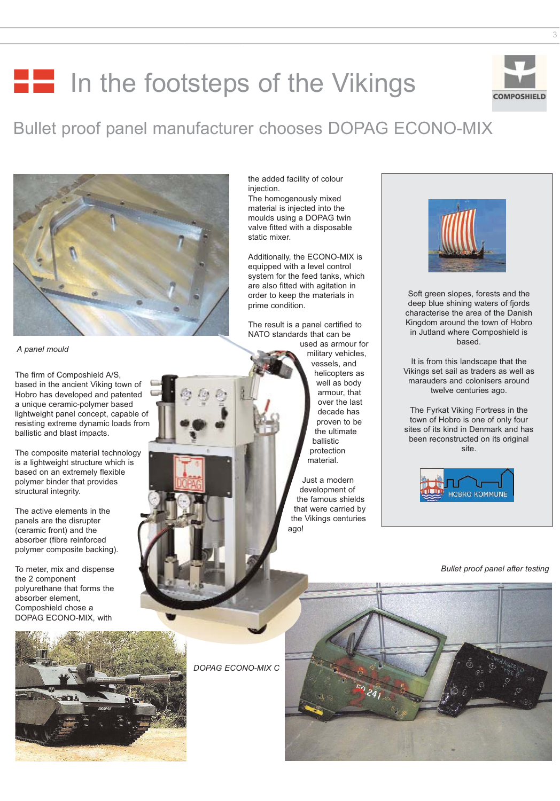## **In the footsteps of the Vikings**

### Bullet proof panel manufacturer chooses DOPAG ECONO-MIX



*A panel mould*

The firm of Composhield A/S, based in the ancient Viking town of Hobro has developed and patented a unique ceramic-polymer based lightweight panel concept, capable of resisting extreme dynamic loads from ballistic and blast impacts.

The composite material technology is a lightweight structure which is based on an extremely flexible polymer binder that provides structural integrity.

The active elements in the panels are the disrupter (ceramic front) and the absorber (fibre reinforced polymer composite backing).

To meter, mix and dispense the 2 component polyurethane that forms the absorber element, Composhield chose a DOPAG ECONO-MIX, with

the added facility of colour injection.

The homogenously mixed material is injected into the moulds using a DOPAG twin valve fitted with a disposable static mixer.

Additionally, the ECONO-MIX is equipped with a level control system for the feed tanks, which are also fitted with agitation in order to keep the materials in prime condition.

The result is a panel certified to NATO standards that can be used as armour for military vehicles, vessels, and helicopters as well as body

armour, that over the last decade has proven to be the ultimate ballistic protection material.

Just a modern development of the famous shields that were carried by the Vikings centuries ago!



Soft green slopes, forests and the deep blue shining waters of fjords characterise the area of the Danish Kingdom around the town of Hobro in Jutland where Composhield is based.

It is from this landscape that the Vikings set sail as traders as well as marauders and colonisers around twelve centuries ago.

The Fyrkat Viking Fortress in the town of Hobro is one of only four sites of its kind in Denmark and has been reconstructed on its original site.



*Bullet proof panel after testing*



*DOPAG ECONO-MIX C*



**COMPOSHIELD**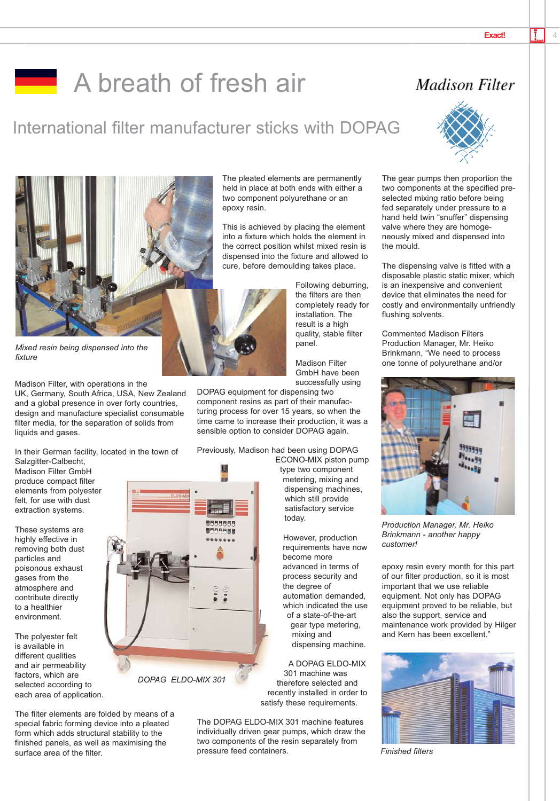### **A** breath of fresh air

### International filter manufacturer sticks with DOPAG





*Mixed resin being dispensed into the fixture*

Madison Filter, with operations in the UK, Germany, South Africa, USA, New Zealand and a global presence in over forty countries, design and manufacture specialist consumable filter media, for the separation of solids from liquids and gases.

In their German facility, located in the town of Salzgitter-Calbecht,

Madison Filter GmbH produce compact filter elements from polyester felt, for use with dust extraction systems.

These systems are highly effective in removing both dust particles and poisonous exhaust gases from the atmosphere and contribute directly to a healthier environment.

The polyester felt is available in different qualities and air permeability factors, which are selected according to each area of application.



*DOPAG ELDO-MIX 301*

The filter elements are folded by means of a special fabric forming device into a pleated form which adds structural stability to the finished panels, as well as maximising the surface area of the filter.

The pleated elements are permanently held in place at both ends with either a two component polyurethane or an epoxy resin.

This is achieved by placing the element into a fixture which holds the element in the correct position whilst mixed resin is dispensed into the fixture and allowed to cure, before demoulding takes place.

> Following deburring, the filters are then completely ready for installation. The result is a high quality, stable filter panel.

Madison Filter GmbH have been successfully using

DOPAG equipment for dispensing two component resins as part of their manufacturing process for over 15 years, so when the time came to increase their production, it was a sensible option to consider DOPAG again.

Previously, Madison had been using DOPAG

ECONO-MIX piston pump type two component metering, mixing and dispensing machines, which still provide satisfactory service today.

However, production requirements have now become more advanced in terms of process security and the degree of automation demanded, which indicated the use of a state-of-the-art gear type metering, mixing and dispensing machine.

A DOPAG ELDO-MIX 301 machine was therefore selected and recently installed in order to satisfy these requirements.

The DOPAG ELDO-MIX 301 machine features individually driven gear pumps, which draw the two components of the resin separately from pressure feed containers.





The gear pumps then proportion the two components at the specified preselected mixing ratio before being fed separately under pressure to a hand held twin "snuffer" dispensing valve where they are homogeneously mixed and dispensed into the mould.

The dispensing valve is fitted with a disposable plastic static mixer, which is an inexpensive and convenient device that eliminates the need for costly and environmentally unfriendly flushing solvents.

Commented Madison Filters Production Manager, Mr. Heiko Brinkmann, "We need to process one tonne of polyurethane and/or



*Production Manager, Mr. Heiko Brinkmann - another happy customer!*

epoxy resin every month for this part of our filter production, so it is most important that we use reliable equipment. Not only has DOPAG equipment proved to be reliable, but also the support, service and maintenance work provided by Hilger and Kern has been excellent."



*Finished filters*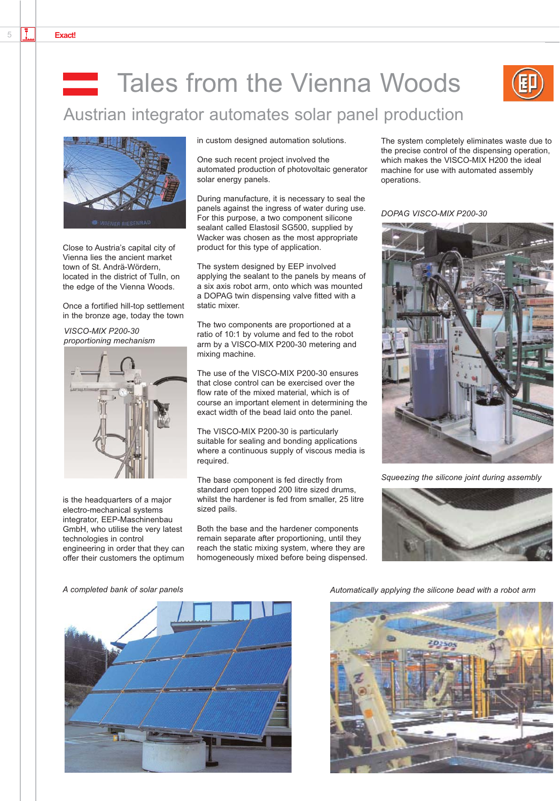# Tales from the Vienna Woods



Austrian integrator automates solar panel production



Close to Austria's capital city of Vienna lies the ancient market town of St. Andrä-Wördern, located in the district of Tulln, on the edge of the Vienna Woods.

Once a fortified hill-top settlement in the bronze age, today the town

*VISCO-MIX P200-30 proportioning mechanism*



is the headquarters of a major electro-mechanical systems integrator, EEP-Maschinenbau GmbH, who utilise the very latest technologies in control engineering in order that they can offer their customers the optimum in custom designed automation solutions.

One such recent project involved the automated production of photovoltaic generator solar energy panels.

During manufacture, it is necessary to seal the panels against the ingress of water during use. For this purpose, a two component silicone sealant called Elastosil SG500, supplied by Wacker was chosen as the most appropriate product for this type of application.

The system designed by EEP involved applying the sealant to the panels by means of a six axis robot arm, onto which was mounted a DOPAG twin dispensing valve fitted with a static mixer.

The two components are proportioned at a ratio of 10:1 by volume and fed to the robot arm by a VISCO-MIX P200-30 metering and mixing machine.

The use of the VISCO-MIX P200-30 ensures that close control can be exercised over the flow rate of the mixed material, which is of course an important element in determining the exact width of the bead laid onto the panel.

The VISCO-MIX P200-30 is particularly suitable for sealing and bonding applications where a continuous supply of viscous media is required.

The base component is fed directly from standard open topped 200 litre sized drums, whilst the hardener is fed from smaller, 25 litre sized pails.

Both the base and the hardener components remain separate after proportioning, until they reach the static mixing system, where they are homogeneously mixed before being dispensed. The system completely eliminates waste due to the precise control of the dispensing operation, which makes the VISCO-MIX H200 the ideal machine for use with automated assembly operations.

*DOPAG VISCO-MIX P200-30*



*Squeezing the silicone joint during assembly*





*A completed bank of solar panels Automatically applying the silicone bead with a robot arm*